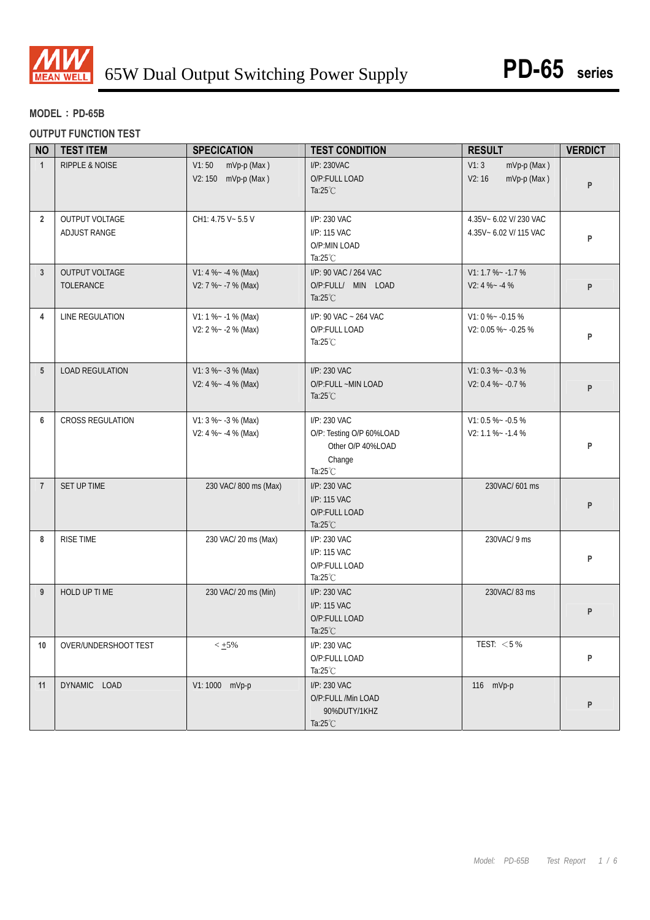

# **MODEL**:**PD-65B**

#### **OUTPUT FUNCTION TEST**

| <b>NO</b>       | <b>TEST ITEM</b>               | <b>SPECICATION</b>                             | <b>TEST CONDITION</b>                                                              | <b>RESULT</b>                                    | <b>VERDICT</b> |
|-----------------|--------------------------------|------------------------------------------------|------------------------------------------------------------------------------------|--------------------------------------------------|----------------|
| $\mathbf{1}$    | <b>RIPPLE &amp; NOISE</b>      | V1:50<br>mVp-p (Max)<br>V2: 150 mVp-p (Max)    | I/P: 230VAC<br>O/P:FULL LOAD<br>Ta: $25^{\circ}$ C                                 | V1:3<br>mVp-p (Max)<br>V2:16<br>mVp-p (Max)      | P              |
| $\overline{2}$  | OUTPUT VOLTAGE<br>ADJUST RANGE | CH1: 4.75 V ~ 5.5 V                            | I/P: 230 VAC<br>I/P: 115 VAC<br>O/P:MIN LOAD<br>Ta: $25^{\circ}$ C                 | 4.35V~ 6.02 V/ 230 VAC<br>4.35V~ 6.02 V/ 115 VAC | P              |
| $\mathbf{3}$    | OUTPUT VOLTAGE<br>TOLERANCE    | V1: 4 % ~ - 4 % (Max)<br>V2: 7 %~ -7 % (Max)   | I/P: 90 VAC / 264 VAC<br>O/P:FULL/ MIN LOAD<br>Ta: $25^{\circ}$ C                  | $V1: 1.7 % -1.7 %$<br>$V2: 4 % -4 %$             | P              |
| 4               | LINE REGULATION                | $V1: 1 % - 1 % (Max)$<br>V2: 2 %~ -2 % (Max)   | I/P: 90 VAC ~ 264 VAC<br>O/P:FULL LOAD<br>Ta: $25^{\circ}$ C                       | $V1:0\% - 0.15\%$<br>V2: 0.05 %~ -0.25 %         | P              |
| $5\overline{5}$ | <b>LOAD REGULATION</b>         | $V1: 3 % - 3 % (Max)$<br>V2: 4 % ~ - 4 % (Max) | I/P: 230 VAC<br>O/P:FULL ~MIN LOAD<br>Ta: $25^{\circ}$ C                           | $V1: 0.3 % ~ -0.3 %$<br>$V2: 0.4 % ~ -0.7 %$     | P              |
| 6               | CROSS REGULATION               | $V1: 3 % -3 % (Max)$<br>V2: 4 % - - 4 % (Max)  | I/P: 230 VAC<br>O/P: Testing O/P 60%LOAD<br>Other O/P 40%LOAD<br>Change<br>Ta:25°C | $V1: 0.5 % ~ -0.5 %$<br>$V2: 1.1 % -1.4 %$       | P              |
| $\overline{7}$  | SET UP TIME                    | 230 VAC/800 ms (Max)                           | I/P: 230 VAC<br>I/P: 115 VAC<br>O/P:FULL LOAD<br>Ta:25°C                           | 230VAC/601 ms                                    | P              |
| 8               | <b>RISE TIME</b>               | 230 VAC/ 20 ms (Max)                           | I/P: 230 VAC<br>I/P: 115 VAC<br>O/P:FULL LOAD<br>Ta: $25^{\circ}$ C                | 230VAC/ 9 ms                                     | P              |
| 9               | HOLD UP TI ME                  | 230 VAC/ 20 ms (Min)                           | I/P: 230 VAC<br>I/P: 115 VAC<br>O/P:FULL LOAD<br>Ta: $25^{\circ}$ C                | 230VAC/83 ms                                     | P              |
| 10              | OVER/UNDERSHOOT TEST           | $< \pm 5\%$                                    | I/P: 230 VAC<br>O/P:FULL LOAD<br>Ta: $25^{\circ}$ C                                | TEST: $<$ 5 %                                    | P              |
| 11              | DYNAMIC LOAD                   | V1: 1000 mVp-p                                 | I/P: 230 VAC<br>O/P:FULL /Min LOAD<br>90%DUTY/1KHZ<br>Ta: $25^{\circ}$ C           | 116 mVp-p                                        | P              |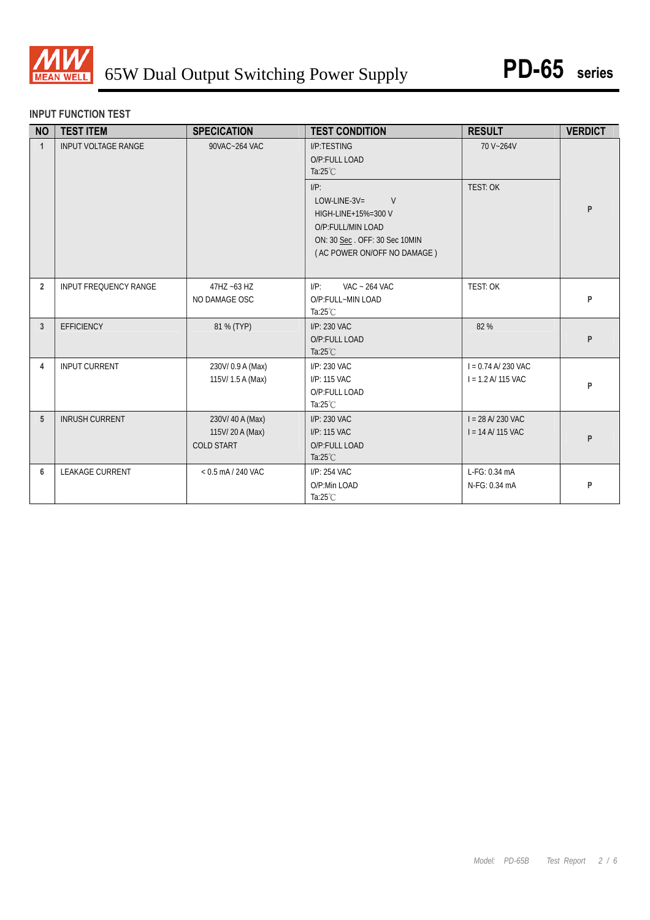

### **INPUT FUNCTION TEST**

| <b>NO</b>      | <b>TEST ITEM</b>                            | <b>SPECICATION</b>                                    | <b>TEST CONDITION</b>                                                                                                                       | <b>RESULT</b>                                | <b>VERDICT</b> |
|----------------|---------------------------------------------|-------------------------------------------------------|---------------------------------------------------------------------------------------------------------------------------------------------|----------------------------------------------|----------------|
| $\mathbf{1}$   | <b>INPUT VOLTAGE RANGE</b><br>90VAC~264 VAC |                                                       | I/P:TESTING<br>O/P:FULL LOAD<br>Ta: $25^{\circ}$ C                                                                                          | 70 V~264V                                    |                |
|                |                                             |                                                       | $I/P$ :<br>$LOW$ -LINE-3V=<br>V<br>HIGH-LINE+15%=300 V<br>O/P:FULL/MIN LOAD<br>ON: 30 Sec. OFF: 30 Sec 10MIN<br>(AC POWER ON/OFF NO DAMAGE) | TEST: OK                                     | P              |
| $\overline{2}$ | <b>INPUT FREQUENCY RANGE</b>                | 47HZ ~63 HZ<br>NO DAMAGE OSC                          | $I/P$ :<br>VAC ~ 264 VAC<br>O/P:FULL~MIN LOAD<br>Ta: $25^{\circ}$ C                                                                         | TEST: OK                                     | P              |
| 3              | <b>EFFICIENCY</b>                           | 81 % (TYP)                                            | I/P: 230 VAC<br>O/P:FULL LOAD<br>Ta: $25^{\circ}$ C                                                                                         | 82 %                                         | P              |
| 4              | <b>INPUT CURRENT</b>                        | 230V/0.9 A (Max)<br>115V/1.5 A (Max)                  | I/P: 230 VAC<br>I/P: 115 VAC<br>O/P:FULL LOAD<br>Ta: $25^{\circ}$ C                                                                         | $I = 0.74$ A/230 VAC<br>$I = 1.2 A/ 115 VAC$ | P              |
| 5              | <b>INRUSH CURRENT</b>                       | 230V/40A (Max)<br>115V/20A (Max)<br><b>COLD START</b> | I/P: 230 VAC<br>I/P: 115 VAC<br>O/P:FULL LOAD<br>Ta: $25^{\circ}$ C                                                                         | $I = 28 A/ 230 VAC$<br>$I = 14$ A/ 115 VAC   | P              |
| 6              | <b>LEAKAGE CURRENT</b>                      | $< 0.5$ mA / 240 VAC                                  | I/P: 254 VAC<br>O/P:Min LOAD<br>Ta: $25^{\circ}$ C                                                                                          | L-FG: 0.34 mA<br>N-FG: 0.34 mA               | P              |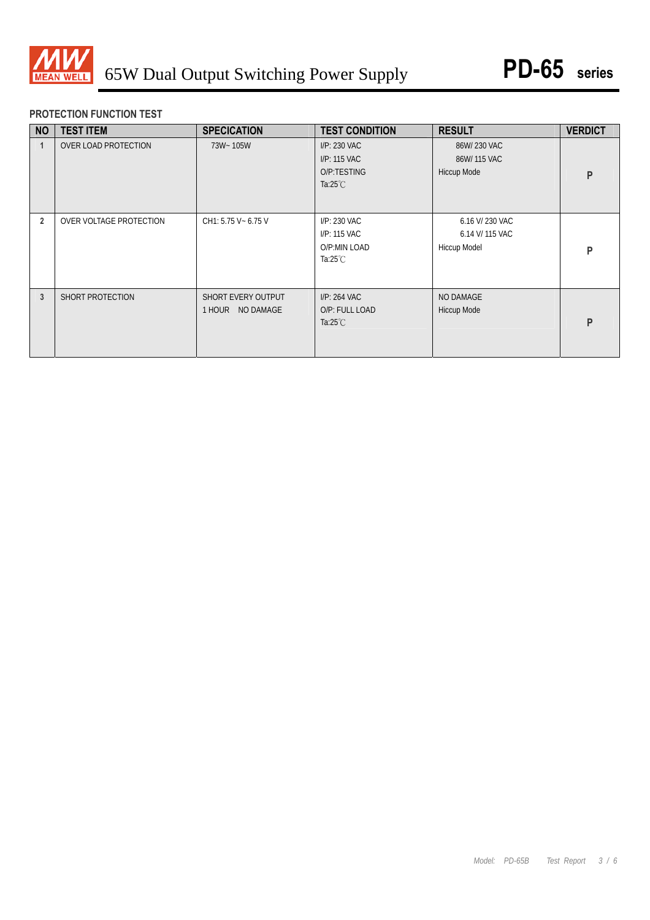

## **PROTECTION FUNCTION TEST**

| <b>NO</b>      | <b>TEST ITEM</b>            | <b>SPECICATION</b>                        | <b>TEST CONDITION</b>                                              | <b>RESULT</b>                                      | <b>VERDICT</b> |
|----------------|-----------------------------|-------------------------------------------|--------------------------------------------------------------------|----------------------------------------------------|----------------|
|                | <b>OVER LOAD PROTECTION</b> | 73W~105W                                  | I/P: 230 VAC<br>I/P: 115 VAC<br>O/P:TESTING<br>Ta: $25^{\circ}$ C  | 86W/230 VAC<br>86W/115 VAC<br>Hiccup Mode          | P              |
| $\overline{2}$ | OVER VOLTAGE PROTECTION     | CH1: 5.75 V ~ 6.75 V                      | I/P: 230 VAC<br>I/P: 115 VAC<br>O/P:MIN LOAD<br>Ta: $25^{\circ}$ C | 6.16 V/ 230 VAC<br>6.14 V/ 115 VAC<br>Hiccup Model | P              |
| 3              | SHORT PROTECTION            | SHORT EVERY OUTPUT<br>NO DAMAGE<br>1 HOUR | I/P: 264 VAC<br>O/P: FULL LOAD<br>Ta: $25^{\circ}$ C               | NO DAMAGE<br>Hiccup Mode                           | P              |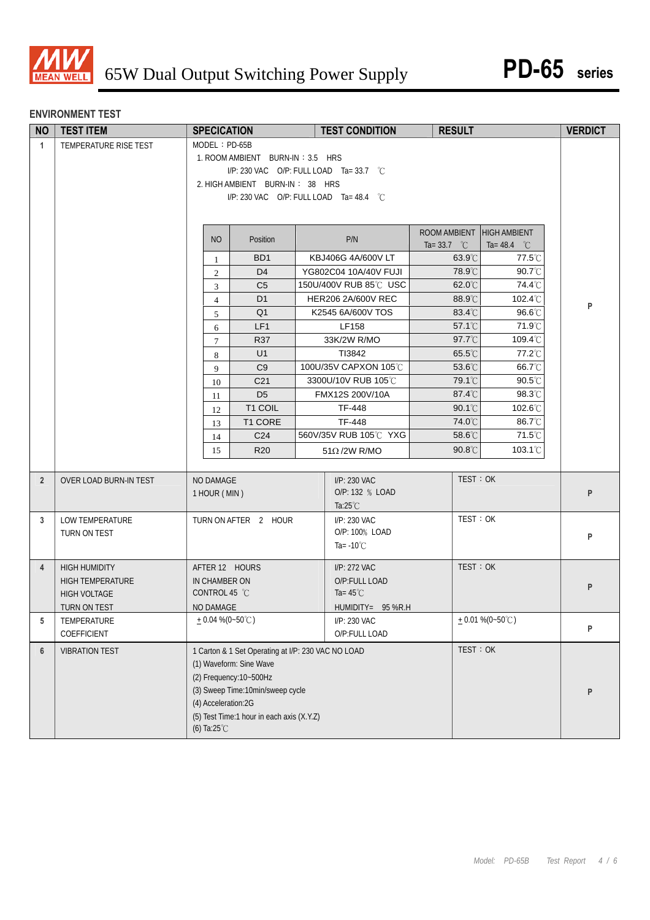

### **ENVIRONMENT TEST**

| <b>NO</b>      | <b>TEST ITEM</b>        | <b>SPECICATION</b>        |                                                    |  | <b>TEST CONDITION</b>           | <b>RESULT</b>                   |                                 | <b>VERDICT</b> |  |
|----------------|-------------------------|---------------------------|----------------------------------------------------|--|---------------------------------|---------------------------------|---------------------------------|----------------|--|
| $\mathbf{1}$   | TEMPERATURE RISE TEST   | $MODEL : PD-65B$          |                                                    |  |                                 |                                 |                                 |                |  |
|                |                         |                           | 1. ROOM AMBIENT BURN-IN: 3.5 HRS                   |  |                                 |                                 |                                 |                |  |
|                |                         |                           | I/P: 230 VAC O/P: FULL LOAD Ta= 33.7 $\degree$ C   |  |                                 |                                 |                                 |                |  |
|                |                         |                           | 2. HIGH AMBIENT BURN-IN: 38 HRS                    |  |                                 |                                 |                                 |                |  |
|                |                         |                           | I/P: 230 VAC O/P: FULL LOAD Ta= 48.4 °C            |  |                                 |                                 |                                 |                |  |
|                |                         |                           |                                                    |  |                                 |                                 |                                 |                |  |
|                |                         | NO                        | Position                                           |  | P/N                             | ROOM AMBIENT HIGH AMBIENT       |                                 |                |  |
|                |                         | 1                         | B <sub>D</sub> 1                                   |  | KBJ406G 4A/600V LT              | Ta= 33.7 $^{\circ}$ C<br>63.9°C | Ta= 48.4 $^{\circ}$ C<br>77.5°C |                |  |
|                |                         | $\overline{c}$            | D <sub>4</sub>                                     |  | YG802C04 10A/40V FUJI           | 78.9°C                          | 90.7°C                          |                |  |
|                |                         | 3                         | C <sub>5</sub>                                     |  | 150U/400V RUB 85℃ USC           | 62.0°C                          | 74.4°C                          |                |  |
|                |                         | $\overline{4}$            | D <sub>1</sub>                                     |  | <b>HER206 2A/600V REC</b>       | 88.9°C                          | 102.4°C                         |                |  |
|                |                         | 5                         | Q <sub>1</sub>                                     |  | K2545 6A/600V TOS               | 83.4°C                          | 96.6°C                          | P              |  |
|                |                         | 6                         | LF1                                                |  | LF158                           | 57.1°C                          | 71.9°C                          |                |  |
|                |                         | $\tau$                    | R37                                                |  | 33K/2W R/MO                     | 97.7°C                          | $109.4^{\circ}$ C               |                |  |
|                |                         | 8                         | U1                                                 |  | TI3842                          | 65.5°C                          | 77.2°C                          |                |  |
|                |                         | 9                         | C <sub>9</sub>                                     |  | 100U/35V CAPXON 105℃            | 53.6°C                          | 66.7°C                          |                |  |
|                |                         | 10                        | C <sub>21</sub>                                    |  | 3300U/10V RUB 105°C             | 79.1°C                          | $90.5^{\circ}$ C                |                |  |
|                |                         | 11                        | D <sub>5</sub>                                     |  | FMX12S 200V/10A                 | 87.4°C                          | 98.3°C                          |                |  |
|                |                         | 12                        | T1 COIL                                            |  | TF-448                          | $90.1^{\circ}$                  | 102.6°C                         |                |  |
|                |                         | 13                        | T1 CORE                                            |  | TF-448                          | 74.0°C                          | 86.7°C                          |                |  |
|                |                         | 14                        | C <sub>24</sub>                                    |  | 560V/35V RUB 105℃ YXG           | 58.6°C                          | 71.5°C                          |                |  |
|                |                         | 15                        | <b>R20</b>                                         |  | $51\Omega/2W$ R/MO              | 90.8°C                          | 103.1 <sup>°</sup> C            |                |  |
|                |                         |                           |                                                    |  |                                 | TEST: OK                        |                                 |                |  |
| $\overline{2}$ | OVER LOAD BURN-IN TEST  | NO DAMAGE<br>1 HOUR (MIN) |                                                    |  | I/P: 230 VAC<br>O/P: 132 % LOAD |                                 |                                 | P              |  |
|                |                         |                           |                                                    |  | Ta: $25^{\circ}$ C              |                                 |                                 |                |  |
| 3              | LOW TEMPERATURE         |                           | TURN ON AFTER 2 HOUR                               |  | I/P: 230 VAC                    | TEST: OK                        |                                 |                |  |
|                | TURN ON TEST            |                           |                                                    |  | O/P: 100% LOAD                  |                                 |                                 | P              |  |
|                |                         |                           |                                                    |  | Ta= $-10^{\circ}$ C             |                                 |                                 |                |  |
| $\overline{4}$ | <b>HIGH HUMIDITY</b>    | AFTER 12 HOURS            |                                                    |  | I/P: 272 VAC                    | TEST: OK                        |                                 |                |  |
|                | <b>HIGH TEMPERATURE</b> | IN CHAMBER ON             |                                                    |  | O/P:FULL LOAD                   |                                 |                                 |                |  |
|                | <b>HIGH VOLTAGE</b>     | CONTROL 45 °C             |                                                    |  | Ta= $45^{\circ}$ C              |                                 |                                 | P              |  |
|                | TURN ON TEST            | NO DAMAGE                 |                                                    |  | $HUMIDITY = 95 % R.H$           |                                 |                                 |                |  |
| 5              | TEMPERATURE             | $+0.04\%$ (0~50°C)        |                                                    |  | I/P: 230 VAC                    |                                 | $+0.01\%$ (0~50°C)              |                |  |
|                | COEFFICIENT             |                           |                                                    |  | O/P:FULL LOAD                   |                                 |                                 | P              |  |
| $6\phantom{1}$ | <b>VIBRATION TEST</b>   |                           | 1 Carton & 1 Set Operating at I/P: 230 VAC NO LOAD |  |                                 | TEST: OK                        |                                 |                |  |
|                |                         |                           | (1) Waveform: Sine Wave                            |  |                                 |                                 |                                 |                |  |
|                |                         |                           | (2) Frequency: 10~500Hz                            |  |                                 |                                 |                                 |                |  |
|                |                         |                           | (3) Sweep Time: 10min/sweep cycle                  |  |                                 |                                 |                                 | P              |  |
|                |                         | (4) Acceleration:2G       |                                                    |  |                                 |                                 |                                 |                |  |
|                |                         |                           | (5) Test Time:1 hour in each axis (X.Y.Z)          |  |                                 |                                 |                                 |                |  |
|                |                         | (6) Ta: $25^{\circ}$ C    |                                                    |  |                                 |                                 |                                 |                |  |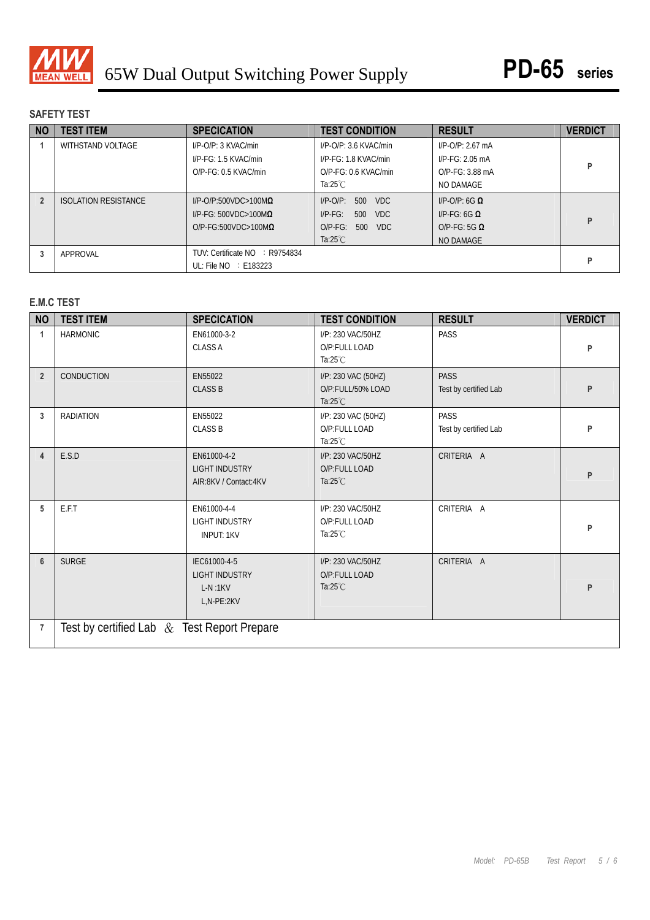

# **SAFETY TEST**

| <b>NO</b> | <b>TEST ITEM</b>            | <b>SPECICATION</b>              | <b>TEST CONDITION</b>           | <b>RESULT</b>             | <b>VERDICT</b> |
|-----------|-----------------------------|---------------------------------|---------------------------------|---------------------------|----------------|
|           | WITHSTAND VOLTAGE           | $I/P$ -O/P: 3 KVAC/min          | $I/P$ -O/P: 3.6 KVAC/min        | $I/P$ -O/P: 2.67 mA       |                |
|           |                             | I/P-FG: 1.5 KVAC/min            | I/P-FG: 1.8 KVAC/min            | $I/P-FG: 2.05mA$          |                |
|           |                             | $O/P$ - $FG: 0.5$ KVAC/min      | $O/P-FG: 0.6$ KVAC/min          | $O/P-FG: 3.88 \text{ mA}$ |                |
|           |                             |                                 | Ta:25 $°C$                      | NO DAMAGE                 |                |
|           | <b>ISOLATION RESISTANCE</b> | $I/P$ -O/P:500VDC>100M $\Omega$ | VDC.<br>$I/P$ - $O/P$ :<br>500  | $I/P$ -O/P: 6G $\Omega$   |                |
|           |                             | $I/P-FG: 500VDC > 100M\Omega$   | 500<br><b>VDC</b><br>$I/P-FG$ : | $I/P-FG: 6G \Omega$       | P              |
|           |                             | $O/P$ -FG:500VDC>100M $\Omega$  | VDC.<br>$O/P-FG$ :<br>500       | $O/P-FG: 5G \Omega$       |                |
|           |                             |                                 | Ta: $25^{\circ}$ C              | NO DAMAGE                 |                |
|           | APPROVAL                    | TUV: Certificate NO : R9754834  |                                 |                           |                |
|           |                             | UL: File $NO$ : E183223         |                                 |                           |                |

### **E.M.C TEST**

| <b>NO</b>      | <b>TEST ITEM</b>                              | <b>SPECICATION</b>                                               | <b>TEST CONDITION</b>                                          | <b>RESULT</b>                        | <b>VERDICT</b> |  |  |
|----------------|-----------------------------------------------|------------------------------------------------------------------|----------------------------------------------------------------|--------------------------------------|----------------|--|--|
| $\mathbf{1}$   | <b>HARMONIC</b>                               | EN61000-3-2<br><b>CLASS A</b>                                    | I/P: 230 VAC/50HZ<br>O/P:FULL LOAD<br>Ta: $25^{\circ}$ C       | <b>PASS</b>                          | P              |  |  |
| $\overline{2}$ | <b>CONDUCTION</b>                             | EN55022<br><b>CLASS B</b>                                        | I/P: 230 VAC (50HZ)<br>O/P:FULL/50% LOAD<br>Ta: $25^{\circ}$ C | <b>PASS</b><br>Test by certified Lab | P              |  |  |
| 3              | <b>RADIATION</b>                              | EN55022<br><b>CLASS B</b>                                        | I/P: 230 VAC (50HZ)<br>O/P:FULL LOAD<br>Ta: $25^{\circ}$ C     | PASS<br>Test by certified Lab        | P              |  |  |
| $\overline{4}$ | E.S.D                                         | EN61000-4-2<br><b>LIGHT INDUSTRY</b><br>AIR:8KV / Contact:4KV    | I/P: 230 VAC/50HZ<br>O/P:FULL LOAD<br>Ta: $25^{\circ}$ C       | CRITERIA A                           | P              |  |  |
| 5              | E.F.T                                         | EN61000-4-4<br><b>LIGHT INDUSTRY</b><br><b>INPUT: 1KV</b>        | I/P: 230 VAC/50HZ<br>O/P:FULL LOAD<br>Ta: $25^{\circ}$ C       | CRITERIA A                           | P              |  |  |
| $6\phantom{1}$ | <b>SURGE</b>                                  | IEC61000-4-5<br><b>LIGHT INDUSTRY</b><br>$L-N:1KV$<br>L,N-PE:2KV | I/P: 230 VAC/50HZ<br>O/P:FULL LOAD<br>Ta: $25^{\circ}$ C       | CRITERIA A                           | P              |  |  |
| $\overline{7}$ | Test by certified Lab $&$ Test Report Prepare |                                                                  |                                                                |                                      |                |  |  |